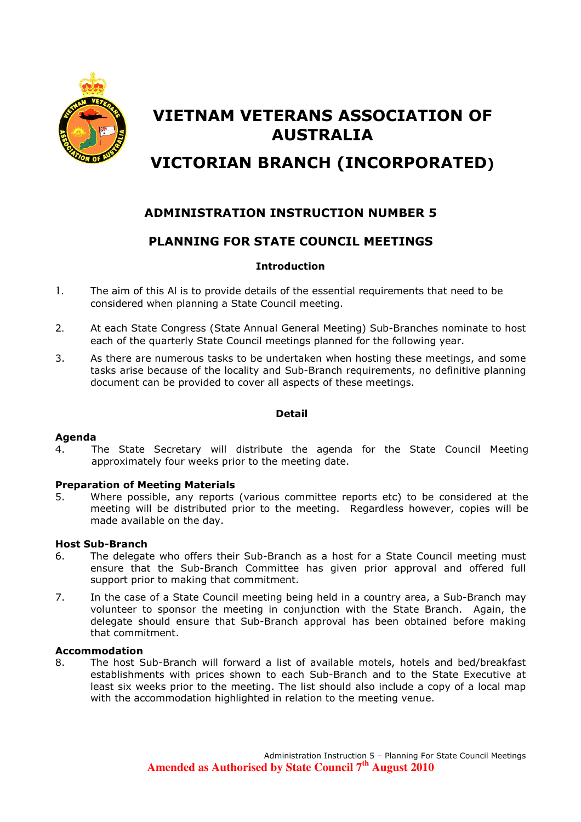

# VIETNAM VETERANS ASSOCIATION OF AUSTRALIA

# VICTORIAN BRANCH (INCORPORATED)

## ADMINISTRATION INSTRUCTION NUMBER 5

### PLANNING FOR STATE COUNCIL MEETINGS

#### Introduction

- 1. The aim of this Al is to provide details of the essential requirements that need to be considered when planning a State Council meeting.
- 2. At each State Congress (State Annual General Meeting) Sub-Branches nominate to host each of the quarterly State Council meetings planned for the following year.
- 3. As there are numerous tasks to be undertaken when hosting these meetings, and some tasks arise because of the locality and Sub-Branch requirements, no definitive planning document can be provided to cover all aspects of these meetings.

#### Detail

#### Agenda

4. The State Secretary will distribute the agenda for the State Council Meeting approximately four weeks prior to the meeting date.

#### Preparation of Meeting Materials

5. Where possible, any reports (various committee reports etc) to be considered at the meeting will be distributed prior to the meeting. Regardless however, copies will be made available on the day.

#### Host Sub-Branch

- 6. The delegate who offers their Sub-Branch as a host for a State Council meeting must ensure that the Sub-Branch Committee has given prior approval and offered full support prior to making that commitment.
- 7. In the case of a State Council meeting being held in a country area, a Sub-Branch may volunteer to sponsor the meeting in conjunction with the State Branch. Again, the delegate should ensure that Sub-Branch approval has been obtained before making that commitment.

#### Accommodation

8. The host Sub-Branch will forward a list of available motels, hotels and bed/breakfast establishments with prices shown to each Sub-Branch and to the State Executive at least six weeks prior to the meeting. The list should also include a copy of a local map with the accommodation highlighted in relation to the meeting venue.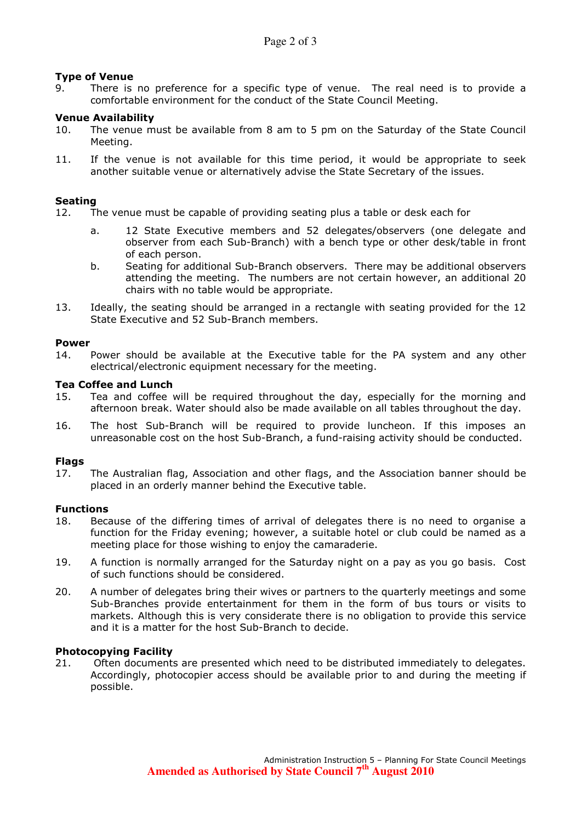#### Type of Venue

9. There is no preference for a specific type of venue. The real need is to provide a comfortable environment for the conduct of the State Council Meeting.

#### Venue Availability

- 10. The venue must be available from 8 am to 5 pm on the Saturday of the State Council Meeting.
- 11. If the venue is not available for this time period, it would be appropriate to seek another suitable venue or alternatively advise the State Secretary of the issues.

#### Seating

- 12. The venue must be capable of providing seating plus a table or desk each for
	- a. 12 State Executive members and 52 delegates/observers (one delegate and observer from each Sub-Branch) with a bench type or other desk/table in front of each person.
	- b. Seating for additional Sub-Branch observers. There may be additional observers attending the meeting. The numbers are not certain however, an additional 20 chairs with no table would be appropriate.
- 13. Ideally, the seating should be arranged in a rectangle with seating provided for the 12 State Executive and 52 Sub-Branch members.

#### Power

14. Power should be available at the Executive table for the PA system and any other electrical/electronic equipment necessary for the meeting.

#### Tea Coffee and Lunch

- 15. Tea and coffee will be required throughout the day, especially for the morning and afternoon break. Water should also be made available on all tables throughout the day.
- 16. The host Sub-Branch will be required to provide luncheon. If this imposes an unreasonable cost on the host Sub-Branch, a fund-raising activity should be conducted.

#### Flags

17. The Australian flag, Association and other flags, and the Association banner should be placed in an orderly manner behind the Executive table.

#### Functions

- 18. Because of the differing times of arrival of delegates there is no need to organise a function for the Friday evening; however, a suitable hotel or club could be named as a meeting place for those wishing to enjoy the camaraderie.
- 19. A function is normally arranged for the Saturday night on a pay as you go basis. Cost of such functions should be considered.
- 20. A number of delegates bring their wives or partners to the quarterly meetings and some Sub-Branches provide entertainment for them in the form of bus tours or visits to markets. Although this is very considerate there is no obligation to provide this service and it is a matter for the host Sub-Branch to decide.

#### Photocopying Facility

21. Often documents are presented which need to be distributed immediately to delegates. Accordingly, photocopier access should be available prior to and during the meeting if possible.